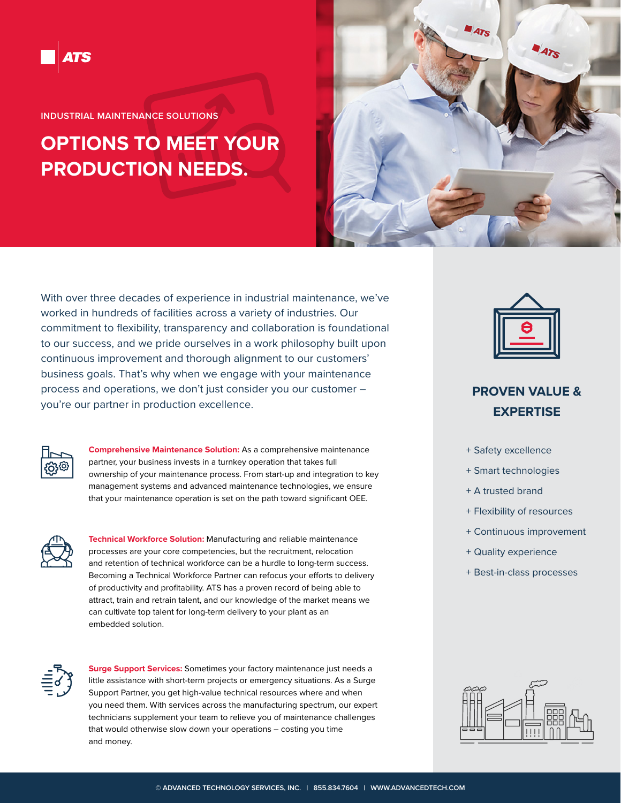**INDUSTRIAL MAINTENANCE SOLUTIONS**

## **OPTIONS TO MEET YOUR PRODUCTION NEEDS.**



With over three decades of experience in industrial maintenance, we've worked in hundreds of facilities across a variety of industries. Our commitment to flexibility, transparency and collaboration is foundational to our success, and we pride ourselves in a work philosophy built upon continuous improvement and thorough alignment to our customers' business goals. That's why when we engage with your maintenance process and operations, we don't just consider you our customer – you're our partner in production excellence.



**Comprehensive Maintenance Solution:** As a comprehensive maintenance partner, your business invests in a turnkey operation that takes full ownership of your maintenance process. From start-up and integration to key management systems and advanced maintenance technologies, we ensure that your maintenance operation is set on the path toward significant OEE.



**Technical Workforce Solution:** Manufacturing and reliable maintenance processes are your core competencies, but the recruitment, relocation and retention of technical workforce can be a hurdle to long-term success. Becoming a Technical Workforce Partner can refocus your efforts to delivery of productivity and profitability. ATS has a proven record of being able to attract, train and retrain talent, and our knowledge of the market means we can cultivate top talent for long-term delivery to your plant as an embedded solution.



**Surge Support Services:** Sometimes your factory maintenance just needs a little assistance with short-term projects or emergency situations. As a Surge Support Partner, you get high-value technical resources where and when you need them. With services across the manufacturing spectrum, our expert technicians supplement your team to relieve you of maintenance challenges that would otherwise slow down your operations – costing you time and money.



## **PROVEN VALUE & EXPERTISE**

- + Safety excellence
- + Smart technologies
- + A trusted brand
- + Flexibility of resources
- + Continuous improvement
- + Quality experience
- + Best-in-class processes